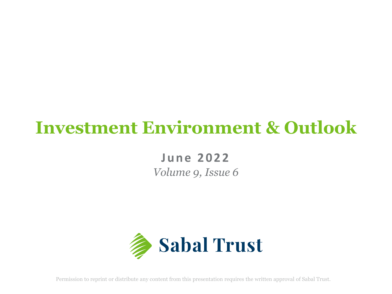# **Investment Environment & Outlook**

**June 2022** *Volume 9, Issue 6*



Permission to reprint or distribute any content from this presentation requires the written approval of Sabal Trust.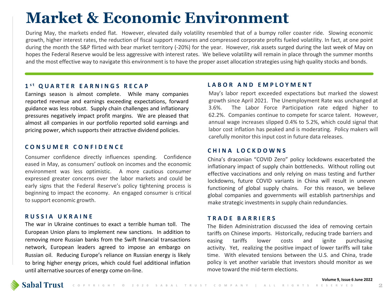# **Market & Economic Environment**

During May, the markets ended flat. However, elevated daily volatility resembled that of a bumpy roller coaster ride. Slowing economic growth, higher interest rates, the reduction of fiscal support measures and compressed corporate profits fueled volatility. In fact, at one point during the month the S&P flirted with bear market territory (-20%) for the year. However, risk assets surged during the last week of May on hopes the Federal Reserve would be less aggressive with interest rates. We believe volatility will remain in place through the summer months and the most effective way to navigate this environment is to have the proper asset allocation strategies using high quality stocks and bonds.

## **1 s t QUARTER EARNINGS RECAP**

Earnings season is almost complete. While many companies reported revenue and earnings exceeding expectations, forward guidance was less robust. Supply chain challenges and inflationary pressures negatively impact profit margins. We are pleased that almost all companies in our portfolio reported solid earnings and pricing power, which supports their attractive dividend policies.

# **CHINA LOCKDOWNS CONSUMER CONFIDENCE**

Consumer confidence directly influences spending. Confidence eased in May, as consumers' outlook on incomes and the economic environment was less optimistic. A more cautious consumer expressed greater concerns over the labor markets and could be early signs that the Federal Reserve's policy tightening process is beginning to impact the economy. An engaged consumer is critical to support economic growth.

## **RUSSIA UKRAINE**

The war in Ukraine continues to exact a terrible human toll. The European Union plans to implement new sanctions. In addition to removing more Russian banks from the Swift financial transactions network, European leaders agreed to impose an embargo on Russian oil. Reducing Europe's reliance on Russian energy is likely to bring higher energy prices, which could fuel additional inflation until alternative sources of energy come on-line.

### **LABOR AND EMPLOYMENT**

May's labor report exceeded expectations but marked the slowest growth since April 2021. The Unemployment Rate was unchanged at 3.6%. The Labor Force Participation rate edged higher to 62.2%. Companies continue to compete for scarce talent. However, annual wage increases slipped 0.4% to 5.2%, which could signal that labor cost inflation has peaked and is moderating. Policy makers will carefully monitor this input cost in future data releases.

China's draconian "COVID Zero" policy lockdowns exacerbated the inflationary impact of supply chain bottlenecks. Without rolling out effective vaccinations and only relying on mass testing and further lockdowns, future COVID variants in China will result in uneven functioning of global supply chains. For this reason, we believe global companies and governments will establish partnerships and make strategic investments in supply chain redundancies.

## **TRADE BARRIERS**

The Biden Administration discussed the idea of removing certain tariffs on Chinese imports. Historically, reducing trade barriers and easing tariffs lower costs and ignite purchasing activity. Yet, realizing the positive impact of lower tariffs will take time. With elevated tensions between the U.S. and China, trade policy is yet another variable that investors should monitor as we move toward the mid-term elections.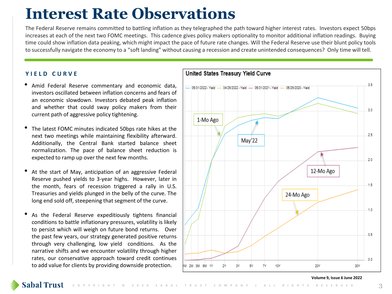# **Interest Rate Observations**

The Federal Reserve remains committed to battling inflation as they telegraphed the path toward higher interest rates. Investors expect 50bps increases at each of the next two FOMC meetings. This cadence gives policy makers optionality to monitor additional inflation readings. Buying time could show inflation data peaking, which might impact the pace of future rate changes. Will the Federal Reserve use their blunt policy tools to successfully navigate the economy to a "soft landing" without causing a recession and create unintended consequences? Only time will tell.

# **YIELD CURVE**

- Amid Federal Reserve commentary and economic data, investors oscillated between inflation concerns and fears of an economic slowdown. Investors debated peak inflation and whether that could sway policy makers from their current path of aggressive policy tightening.
- The latest FOMC minutes indicated 50bps rate hikes at the next two meetings while maintaining flexibility afterward. Additionally, the Central Bank started balance sheet normalization. The pace of balance sheet reduction is expected to ramp up over the next few months.
- At the start of May, anticipation of an aggressive Federal Reserve pushed yields to 3-year highs. However, later in the month, fears of recession triggered a rally in U.S. Treasuries and yields plunged in the belly of the curve. The long end sold off, steepening that segment of the curve.
- As the Federal Reserve expeditiously tightens financial conditions to battle inflationary pressures, volatility is likely to persist which will weigh on future bond returns. Over the past few years, our strategy generated positive returns through very challenging, low yield conditions. As the narrative shifts and we encounter volatility through higher rates, our conservative approach toward credit continues to add value for clients by providing downside protection.



### **Volume 9, Issue 6 June 2022**